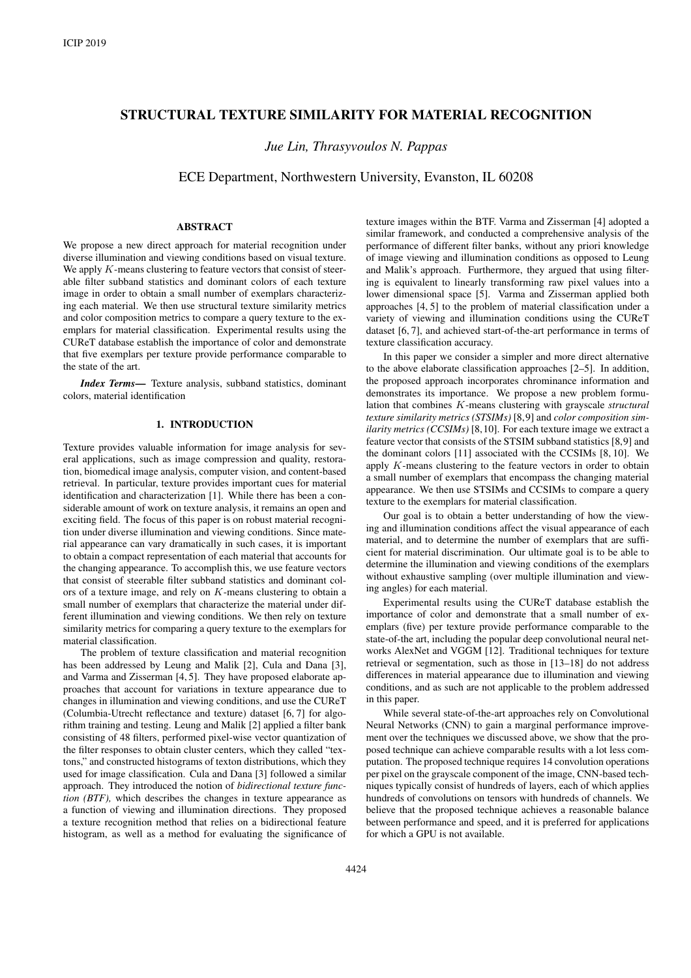# STRUCTURAL TEXTURE SIMILARITY FOR MATERIAL RECOGNITION

*Jue Lin, Thrasyvoulos N. Pappas*

ECE Department, Northwestern University, Evanston, IL 60208

## **ABSTRACT**

We propose a new direct approach for material recognition under diverse illumination and viewing conditions based on visual texture. We apply  $K$ -means clustering to feature vectors that consist of steerable filter subband statistics and dominant colors of each texture image in order to obtain a small number of exemplars characterizing each material. We then use structural texture similarity metrics and color composition metrics to compare a query texture to the exemplars for material classification. Experimental results using the CUReT database establish the importance of color and demonstrate that five exemplars per texture provide performance comparable to the state of the art.

*Index Terms*— Texture analysis, subband statistics, dominant colors, material identification

## 1. INTRODUCTION

Texture provides valuable information for image analysis for several applications, such as image compression and quality, restoration, biomedical image analysis, computer vision, and content-based retrieval. In particular, texture provides important cues for material identification and characterization [1]. While there has been a considerable amount of work on texture analysis, it remains an open and exciting field. The focus of this paper is on robust material recognition under diverse illumination and viewing conditions. Since material appearance can vary dramatically in such cases, it is important to obtain a compact representation of each material that accounts for the changing appearance. To accomplish this, we use feature vectors that consist of steerable filter subband statistics and dominant colors of a texture image, and rely on K-means clustering to obtain a small number of exemplars that characterize the material under different illumination and viewing conditions. We then rely on texture similarity metrics for comparing a query texture to the exemplars for material classification.

The problem of texture classification and material recognition has been addressed by Leung and Malik [2], Cula and Dana [3], and Varma and Zisserman [4, 5]. They have proposed elaborate approaches that account for variations in texture appearance due to changes in illumination and viewing conditions, and use the CUReT (Columbia-Utrecht reflectance and texture) dataset [6, 7] for algorithm training and testing. Leung and Malik [2] applied a filter bank consisting of 48 filters, performed pixel-wise vector quantization of the filter responses to obtain cluster centers, which they called "textons," and constructed histograms of texton distributions, which they used for image classification. Cula and Dana [3] followed a similar approach. They introduced the notion of *bidirectional texture function (BTF),* which describes the changes in texture appearance as a function of viewing and illumination directions. They proposed a texture recognition method that relies on a bidirectional feature histogram, as well as a method for evaluating the significance of texture images within the BTF. Varma and Zisserman [4] adopted a similar framework, and conducted a comprehensive analysis of the performance of different filter banks, without any priori knowledge of image viewing and illumination conditions as opposed to Leung and Malik's approach. Furthermore, they argued that using filtering is equivalent to linearly transforming raw pixel values into a lower dimensional space [5]. Varma and Zisserman applied both approaches [4, 5] to the problem of material classification under a variety of viewing and illumination conditions using the CUReT dataset [6, 7], and achieved start-of-the-art performance in terms of texture classification accuracy.

In this paper we consider a simpler and more direct alternative to the above elaborate classification approaches [2–5]. In addition, the proposed approach incorporates chrominance information and demonstrates its importance. We propose a new problem formulation that combines K-means clustering with grayscale *structural texture similarity metrics (STSIMs)* [8,9] and *color composition similarity metrics (CCSIMs)* [8,10]. For each texture image we extract a feature vector that consists of the STSIM subband statistics [8,9] and the dominant colors [11] associated with the CCSIMs [8, 10]. We apply  $K$ -means clustering to the feature vectors in order to obtain a small number of exemplars that encompass the changing material appearance. We then use STSIMs and CCSIMs to compare a query texture to the exemplars for material classification.

Our goal is to obtain a better understanding of how the viewing and illumination conditions affect the visual appearance of each material, and to determine the number of exemplars that are sufficient for material discrimination. Our ultimate goal is to be able to determine the illumination and viewing conditions of the exemplars without exhaustive sampling (over multiple illumination and viewing angles) for each material.

Experimental results using the CUReT database establish the importance of color and demonstrate that a small number of exemplars (five) per texture provide performance comparable to the state-of-the art, including the popular deep convolutional neural networks AlexNet and VGGM [12]. Traditional techniques for texture retrieval or segmentation, such as those in [13–18] do not address differences in material appearance due to illumination and viewing conditions, and as such are not applicable to the problem addressed in this paper.

While several state-of-the-art approaches rely on Convolutional Neural Networks (CNN) to gain a marginal performance improvement over the techniques we discussed above, we show that the proposed technique can achieve comparable results with a lot less computation. The proposed technique requires 14 convolution operations per pixel on the grayscale component of the image, CNN-based techniques typically consist of hundreds of layers, each of which applies hundreds of convolutions on tensors with hundreds of channels. We believe that the proposed technique achieves a reasonable balance between performance and speed, and it is preferred for applications for which a GPU is not available.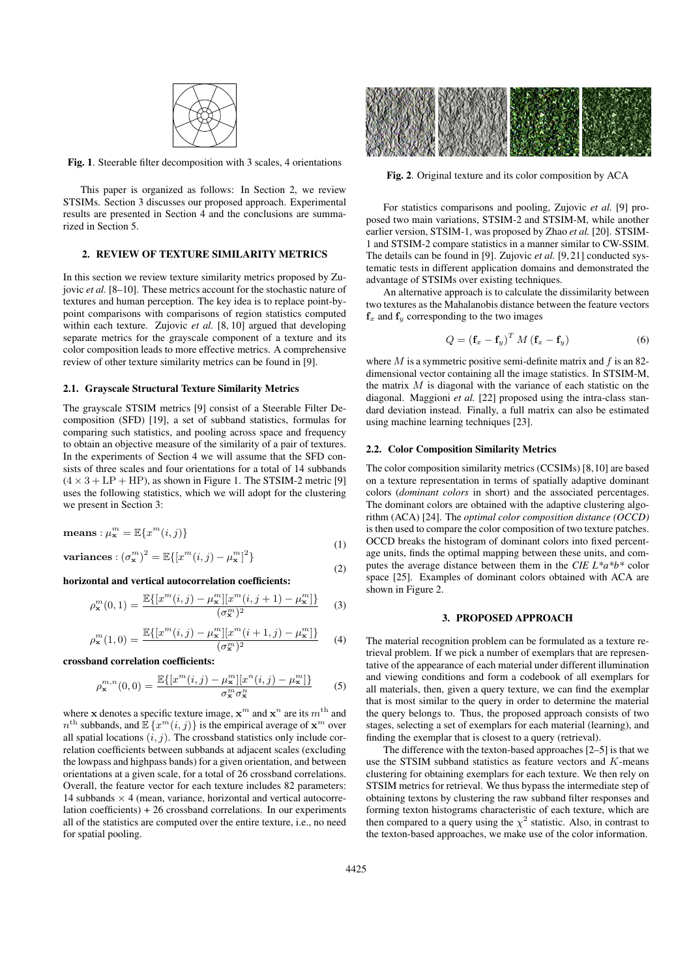

Fig. 1. Steerable filter decomposition with 3 scales, 4 orientations

This paper is organized as follows: In Section 2, we review STSIMs. Section 3 discusses our proposed approach. Experimental results are presented in Section 4 and the conclusions are summarized in Section 5.

#### 2. REVIEW OF TEXTURE SIMILARITY METRICS

In this section we review texture similarity metrics proposed by Zujovic *et al.* [8–10]. These metrics account for the stochastic nature of textures and human perception. The key idea is to replace point-bypoint comparisons with comparisons of region statistics computed within each texture. Zujovic *et al.* [8, 10] argued that developing separate metrics for the grayscale component of a texture and its color composition leads to more effective metrics. A comprehensive review of other texture similarity metrics can be found in [9].

#### 2.1. Grayscale Structural Texture Similarity Metrics

The grayscale STSIM metrics [9] consist of a Steerable Filter Decomposition (SFD) [19], a set of subband statistics, formulas for comparing such statistics, and pooling across space and frequency to obtain an objective measure of the similarity of a pair of textures. In the experiments of Section 4 we will assume that the SFD consists of three scales and four orientations for a total of 14 subbands  $(4 \times 3 + LP + HP)$ , as shown in Figure 1. The STSIM-2 metric [9] uses the following statistics, which we will adopt for the clustering we present in Section 3:

$$
\mathbf{means} : \mu_{\mathbf{x}}^m = \mathbb{E}\{x^m(i,j)\}\tag{1}
$$

variances: 
$$
(\sigma_{\mathbf{x}}^{m})^2 = \mathbb{E}\{ [x^{m}(i,j) - \mu_{\mathbf{x}}^{m}]^2 \}
$$

horizontal and vertical autocorrelation coefficients:

$$
\rho_{\mathbf{x}}^{m}(0,1) = \frac{\mathbb{E}\{ [x^{m}(i,j) - \mu_{\mathbf{x}}^{m}][x^{m}(i,j+1) - \mu_{\mathbf{x}}^{m}] \}}{(\sigma_{\mathbf{x}}^{m})^{2}}
$$
(3)

$$
\rho_{\mathbf{x}}^{m}(1,0) = \frac{\mathbb{E}\{ [x^{m}(i,j) - \mu_{\mathbf{x}}^{m}][x^{m}(i+1,j) - \mu_{\mathbf{x}}^{m}] \}}{(\sigma_{\mathbf{x}}^{m})^{2}}
$$
(4)

crossband correlation coefficients:

$$
\rho_{\mathbf{x}}^{m,n}(0,0) = \frac{\mathbb{E}\{ [x^m(i,j) - \mu_{\mathbf{x}}^m] [x^n(i,j) - \mu_{\mathbf{x}}^m] \}}{\sigma_{\mathbf{x}}^m \sigma_{\mathbf{x}}^n}
$$
(5)

where **x** denotes a specific texture image,  $\mathbf{x}^m$  and  $\mathbf{x}^n$  are its  $m^{\text{th}}$  and  $n^{\text{th}}$  subbands, and  $\mathbb{E}\left\{x^m(i,j)\right\}$  is the empirical average of  $\mathbf{x}^m$  over all spatial locations  $(i, j)$ . The crossband statistics only include correlation coefficients between subbands at adjacent scales (excluding the lowpass and highpass bands) for a given orientation, and between orientations at a given scale, for a total of 26 crossband correlations. Overall, the feature vector for each texture includes 82 parameters: 14 subbands  $\times$  4 (mean, variance, horizontal and vertical autocorrelation coefficients)  $+26$  crossband correlations. In our experiments all of the statistics are computed over the entire texture, i.e., no need for spatial pooling.



Fig. 2. Original texture and its color composition by ACA

For statistics comparisons and pooling, Zujovic *et al.* [9] proposed two main variations, STSIM-2 and STSIM-M, while another earlier version, STSIM-1, was proposed by Zhao *et al.* [20]. STSIM-1 and STSIM-2 compare statistics in a manner similar to CW-SSIM. The details can be found in [9]. Zujovic *et al.* [9, 21] conducted systematic tests in different application domains and demonstrated the advantage of STSIMs over existing techniques.

An alternative approach is to calculate the dissimilarity between two textures as the Mahalanobis distance between the feature vectors  $f<sub>x</sub>$  and  $f<sub>y</sub>$  corresponding to the two images

$$
Q = \left(\mathbf{f}_x - \mathbf{f}_y\right)^T M \left(\mathbf{f}_x - \mathbf{f}_y\right) \tag{6}
$$

where  $M$  is a symmetric positive semi-definite matrix and  $f$  is an 82dimensional vector containing all the image statistics. In STSIM-M, the matrix  $M$  is diagonal with the variance of each statistic on the diagonal. Maggioni *et al.* [22] proposed using the intra-class standard deviation instead. Finally, a full matrix can also be estimated using machine learning techniques [23].

## 2.2. Color Composition Similarity Metrics

The color composition similarity metrics (CCSIMs) [8,10] are based on a texture representation in terms of spatially adaptive dominant colors (*dominant colors* in short) and the associated percentages. The dominant colors are obtained with the adaptive clustering algorithm (ACA) [24]. The *optimal color composition distance (OCCD)* is then used to compare the color composition of two texture patches. OCCD breaks the histogram of dominant colors into fixed percentage units, finds the optimal mapping between these units, and computes the average distance between them in the *CIE L\*a\*b\** color space [25]. Examples of dominant colors obtained with ACA are shown in Figure 2.

#### 3. PROPOSED APPROACH

The material recognition problem can be formulated as a texture retrieval problem. If we pick a number of exemplars that are representative of the appearance of each material under different illumination and viewing conditions and form a codebook of all exemplars for all materials, then, given a query texture, we can find the exemplar that is most similar to the query in order to determine the material the query belongs to. Thus, the proposed approach consists of two stages, selecting a set of exemplars for each material (learning), and finding the exemplar that is closest to a query (retrieval).

The difference with the texton-based approaches [2–5] is that we use the STSIM subband statistics as feature vectors and K-means clustering for obtaining exemplars for each texture. We then rely on STSIM metrics for retrieval. We thus bypass the intermediate step of obtaining textons by clustering the raw subband filter responses and forming texton histograms characteristic of each texture, which are then compared to a query using the  $\chi^2$  statistic. Also, in contrast to the texton-based approaches, we make use of the color information.

(2)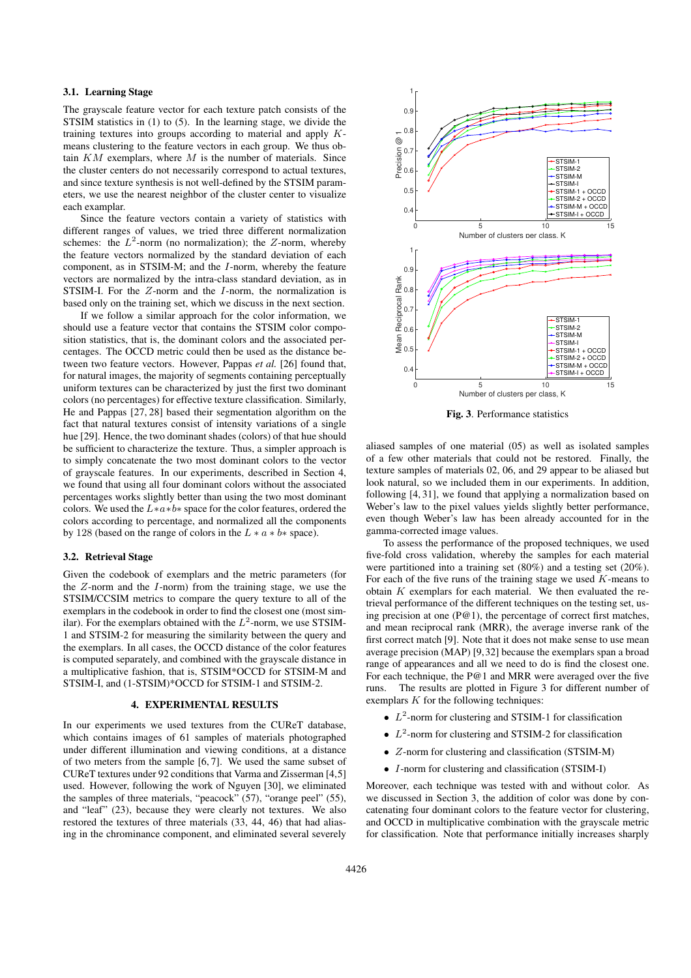## 3.1. Learning Stage

The grayscale feature vector for each texture patch consists of the STSIM statistics in (1) to (5). In the learning stage, we divide the training textures into groups according to material and apply  $K$ means clustering to the feature vectors in each group. We thus obtain  $KM$  exemplars, where  $M$  is the number of materials. Since the cluster centers do not necessarily correspond to actual textures, and since texture synthesis is not well-defined by the STSIM parameters, we use the nearest neighbor of the cluster center to visualize each examplar.

Since the feature vectors contain a variety of statistics with different ranges of values, we tried three different normalization schemes: the  $L^2$ -norm (no normalization); the Z-norm, whereby the feature vectors normalized by the standard deviation of each component, as in STSIM-M; and the I-norm, whereby the feature vectors are normalized by the intra-class standard deviation, as in STSIM-I. For the Z-norm and the I-norm, the normalization is based only on the training set, which we discuss in the next section.

If we follow a similar approach for the color information, we should use a feature vector that contains the STSIM color composition statistics, that is, the dominant colors and the associated percentages. The OCCD metric could then be used as the distance between two feature vectors. However, Pappas *et al.* [26] found that, for natural images, the majority of segments containing perceptually uniform textures can be characterized by just the first two dominant colors (no percentages) for effective texture classification. Similarly, He and Pappas [27, 28] based their segmentation algorithm on the fact that natural textures consist of intensity variations of a single hue [29]. Hence, the two dominant shades (colors) of that hue should be sufficient to characterize the texture. Thus, a simpler approach is to simply concatenate the two most dominant colors to the vector of grayscale features. In our experiments, described in Section 4, we found that using all four dominant colors without the associated percentages works slightly better than using the two most dominant colors. We used the L∗a∗b∗ space for the color features, ordered the colors according to percentage, and normalized all the components by 128 (based on the range of colors in the  $L * a * b *$  space).

#### 3.2. Retrieval Stage

Given the codebook of exemplars and the metric parameters (for the  $Z$ -norm and the  $I$ -norm) from the training stage, we use the STSIM/CCSIM metrics to compare the query texture to all of the exemplars in the codebook in order to find the closest one (most similar). For the exemplars obtained with the  $L^2$ -norm, we use STSIM-1 and STSIM-2 for measuring the similarity between the query and the exemplars. In all cases, the OCCD distance of the color features is computed separately, and combined with the grayscale distance in a multiplicative fashion, that is, STSIM\*OCCD for STSIM-M and STSIM-I, and (1-STSIM)\*OCCD for STSIM-1 and STSIM-2.

#### 4. EXPERIMENTAL RESULTS

In our experiments we used textures from the CUReT database, which contains images of 61 samples of materials photographed under different illumination and viewing conditions, at a distance of two meters from the sample [6, 7]. We used the same subset of CUReT textures under 92 conditions that Varma and Zisserman [4,5] used. However, following the work of Nguyen [30], we eliminated the samples of three materials, "peacock" (57), "orange peel" (55), and "leaf" (23), because they were clearly not textures. We also restored the textures of three materials (33, 44, 46) that had aliasing in the chrominance component, and eliminated several severely



Fig. 3. Performance statistics

aliased samples of one material (05) as well as isolated samples of a few other materials that could not be restored. Finally, the texture samples of materials 02, 06, and 29 appear to be aliased but look natural, so we included them in our experiments. In addition, following [4, 31], we found that applying a normalization based on Weber's law to the pixel values yields slightly better performance, even though Weber's law has been already accounted for in the gamma-corrected image values.

To assess the performance of the proposed techniques, we used five-fold cross validation, whereby the samples for each material were partitioned into a training set (80%) and a testing set (20%). For each of the five runs of the training stage we used  $K$ -means to obtain  $K$  exemplars for each material. We then evaluated the retrieval performance of the different techniques on the testing set, using precision at one (P@1), the percentage of correct first matches, and mean reciprocal rank (MRR), the average inverse rank of the first correct match [9]. Note that it does not make sense to use mean average precision (MAP) [9,32] because the exemplars span a broad range of appearances and all we need to do is find the closest one. For each technique, the P@1 and MRR were averaged over the five runs. The results are plotted in Figure 3 for different number of exemplars  $K$  for the following techniques:

- $\bullet$   $L^2$ -norm for clustering and STSIM-1 for classification
- $\bullet$   $L^2$ -norm for clustering and STSIM-2 for classification
- Z-norm for clustering and classification (STSIM-M)
- I-norm for clustering and classification (STSIM-I)

Moreover, each technique was tested with and without color. As we discussed in Section 3, the addition of color was done by concatenating four dominant colors to the feature vector for clustering, and OCCD in multiplicative combination with the grayscale metric for classification. Note that performance initially increases sharply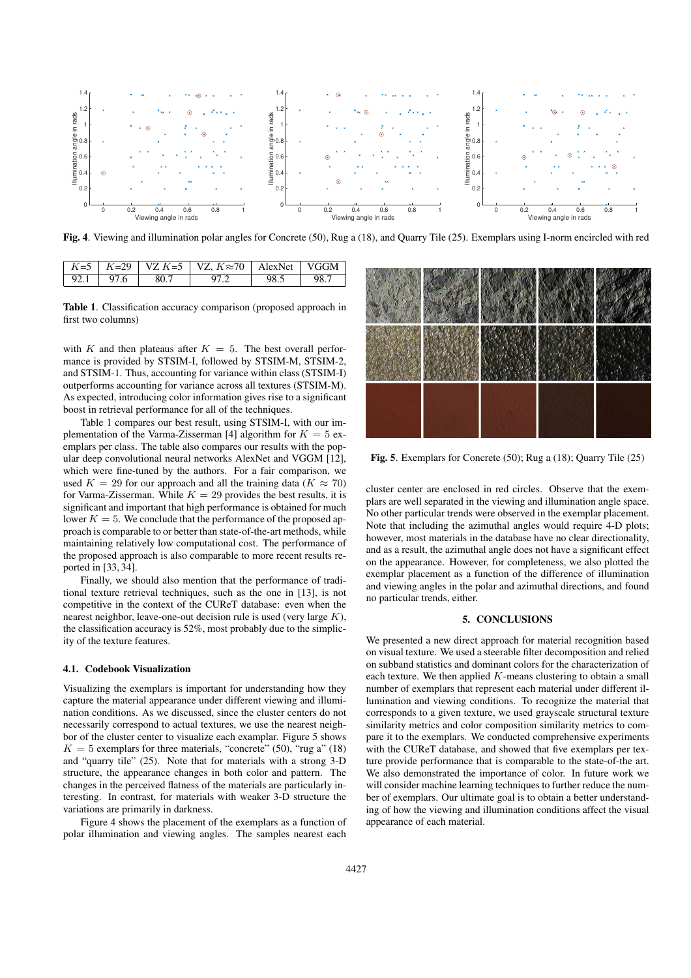

Fig. 4. Viewing and illumination polar angles for Concrete (50), Rug a (18), and Quarry Tile (25). Exemplars using I-norm encircled with red

|             |      | $\mid K=5$ $\mid K=29$ $\mid$ VZ $K=5$ $\mid$ VZ, $K\approx 70$ $\mid$ AlexNet $\mid$ VGGM $\mid$ |      |  |
|-------------|------|---------------------------------------------------------------------------------------------------|------|--|
| $92.1$ 97.6 | 80.7 |                                                                                                   | 98.5 |  |

Table 1. Classification accuracy comparison (proposed approach in first two columns)

with K and then plateaus after  $K = 5$ . The best overall performance is provided by STSIM-I, followed by STSIM-M, STSIM-2, and STSIM-1. Thus, accounting for variance within class (STSIM-I) outperforms accounting for variance across all textures (STSIM-M). As expected, introducing color information gives rise to a significant boost in retrieval performance for all of the techniques.

Table 1 compares our best result, using STSIM-I, with our implementation of the Varma-Zisserman [4] algorithm for  $K = 5$  exemplars per class. The table also compares our results with the popular deep convolutional neural networks AlexNet and VGGM [12], which were fine-tuned by the authors. For a fair comparison, we used  $K = 29$  for our approach and all the training data ( $K \approx 70$ ) for Varma-Zisserman. While  $K = 29$  provides the best results, it is significant and important that high performance is obtained for much lower  $K = 5$ . We conclude that the performance of the proposed approach is comparable to or better than state-of-the-art methods, while maintaining relatively low computational cost. The performance of the proposed approach is also comparable to more recent results reported in [33, 34].

Finally, we should also mention that the performance of traditional texture retrieval techniques, such as the one in [13], is not competitive in the context of the CUReT database: even when the nearest neighbor, leave-one-out decision rule is used (very large  $K$ ), the classification accuracy is 52%, most probably due to the simplicity of the texture features.

## 4.1. Codebook Visualization

Visualizing the exemplars is important for understanding how they capture the material appearance under different viewing and illumination conditions. As we discussed, since the cluster centers do not necessarily correspond to actual textures, we use the nearest neighbor of the cluster center to visualize each examplar. Figure 5 shows  $K = 5$  exemplars for three materials, "concrete" (50), "rug a" (18) and "quarry tile" (25). Note that for materials with a strong 3-D structure, the appearance changes in both color and pattern. The changes in the perceived flatness of the materials are particularly interesting. In contrast, for materials with weaker 3-D structure the variations are primarily in darkness.

Figure 4 shows the placement of the exemplars as a function of polar illumination and viewing angles. The samples nearest each



Fig. 5. Exemplars for Concrete (50); Rug a (18); Quarry Tile (25)

cluster center are enclosed in red circles. Observe that the exemplars are well separated in the viewing and illumination angle space. No other particular trends were observed in the exemplar placement. Note that including the azimuthal angles would require 4-D plots; however, most materials in the database have no clear directionality, and as a result, the azimuthal angle does not have a significant effect on the appearance. However, for completeness, we also plotted the exemplar placement as a function of the difference of illumination and viewing angles in the polar and azimuthal directions, and found no particular trends, either.

## 5. CONCLUSIONS

We presented a new direct approach for material recognition based on visual texture. We used a steerable filter decomposition and relied on subband statistics and dominant colors for the characterization of each texture. We then applied  $K$ -means clustering to obtain a small number of exemplars that represent each material under different illumination and viewing conditions. To recognize the material that corresponds to a given texture, we used grayscale structural texture similarity metrics and color composition similarity metrics to compare it to the exemplars. We conducted comprehensive experiments with the CUReT database, and showed that five exemplars per texture provide performance that is comparable to the state-of-the art. We also demonstrated the importance of color. In future work we will consider machine learning techniques to further reduce the number of exemplars. Our ultimate goal is to obtain a better understanding of how the viewing and illumination conditions affect the visual appearance of each material.